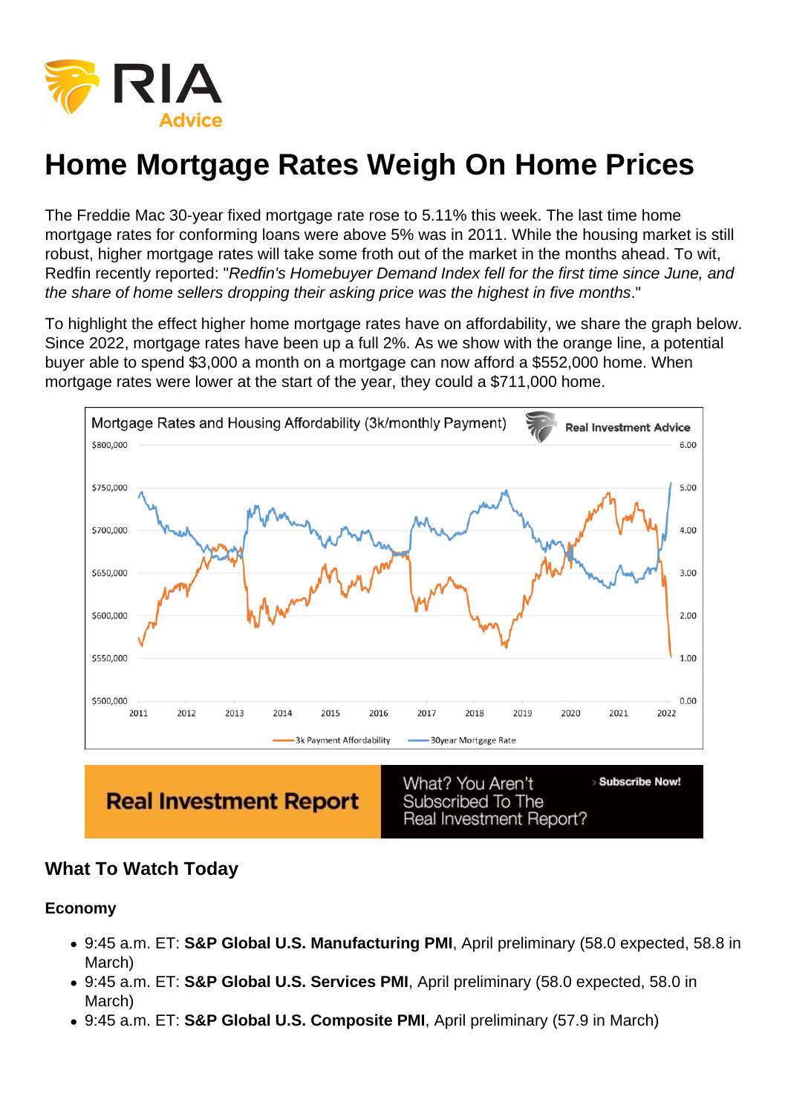The Freddie Mac 30-year fixed mortgage rate rose to 5.11% this week. The last time home mortgage rates for conforming loans were above 5% was in 2011. While the housing market is still robust, higher mortgage rates will take some froth out of the market in the months ahead. To wit, Redfin recently reported: "Redfin's Homebuyer Demand Index fell for the first time since June, and the share of home sellers dropping their asking price was the highest in five months."

To highlight the effect higher home mortgage rates have on affordability, we share the graph below. Since 2022, mortgage rates have been up a full 2%. As we show with the orange line, a potential buyer able to spend \$3,000 a month on a mortgage can now afford a \$552,000 home. When mortgage rates were lower at the start of the year, they could a \$711,000 home.

### What To Watch Today

Economy

- 9:45 a.m. ET: S&P Global U.S. Manufacturing PMI , April preliminary (58.0 expected, 58.8 in March)
- 9:45 a.m. ET: S&P Global U.S. Services PMI , April preliminary (58.0 expected, 58.0 in March)
- 9:45 a.m. ET: S&P Global U.S. Composite PMI , April preliminary (57.9 in March)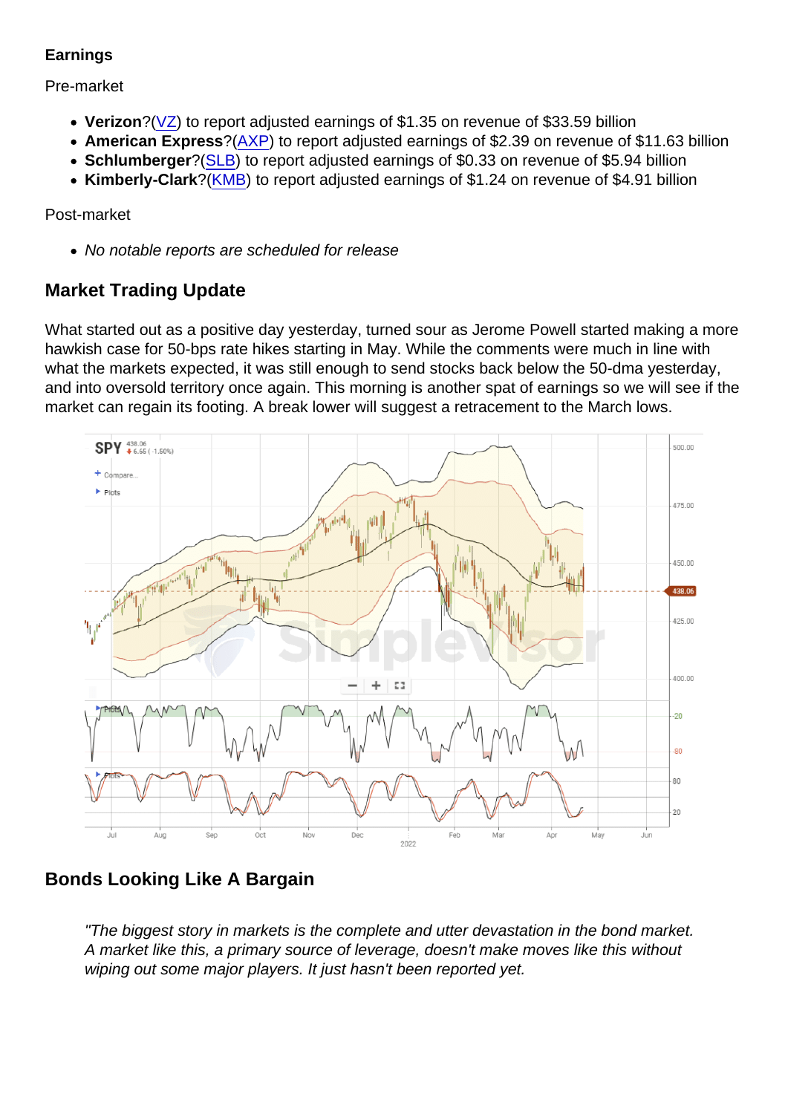#### Earnings

#### Pre-market

- Verizon ?[\(VZ](https://finance.yahoo.com/quote/VZ)) to report adjusted earnings of \$1.35 on revenue of \$33.59 billion
- American Express ?[\(AXP](https://finance.yahoo.com/quote/AXP)) to report adjusted earnings of \$2.39 on revenue of \$11.63 billion
- Schlumberger ?[\(SLB](https://finance.yahoo.com/quote/SLB)) to report adjusted earnings of \$0.33 on revenue of \$5.94 billion
- Kimberly-Clark ?[\(KMB](https://finance.yahoo.com/quote/KMB)) to report adjusted earnings of \$1.24 on revenue of \$4.91 billion

#### Post-market

No notable reports are scheduled for release

### Market Trading Update

What started out as a positive day yesterday, turned sour as Jerome Powell started making a more hawkish case for 50-bps rate hikes starting in May. While the comments were much in line with what the markets expected, it was still enough to send stocks back below the 50-dma yesterday, and into oversold territory once again. This morning is another spat of earnings so we will see if the market can regain its footing. A break lower will suggest a retracement to the March lows.

### Bonds Looking Like A Bargain

"The biggest story in markets is the complete and utter devastation in the bond market. A market like this, a primary source of leverage, doesn't make moves like this without wiping out some major players. It just hasn't been reported yet.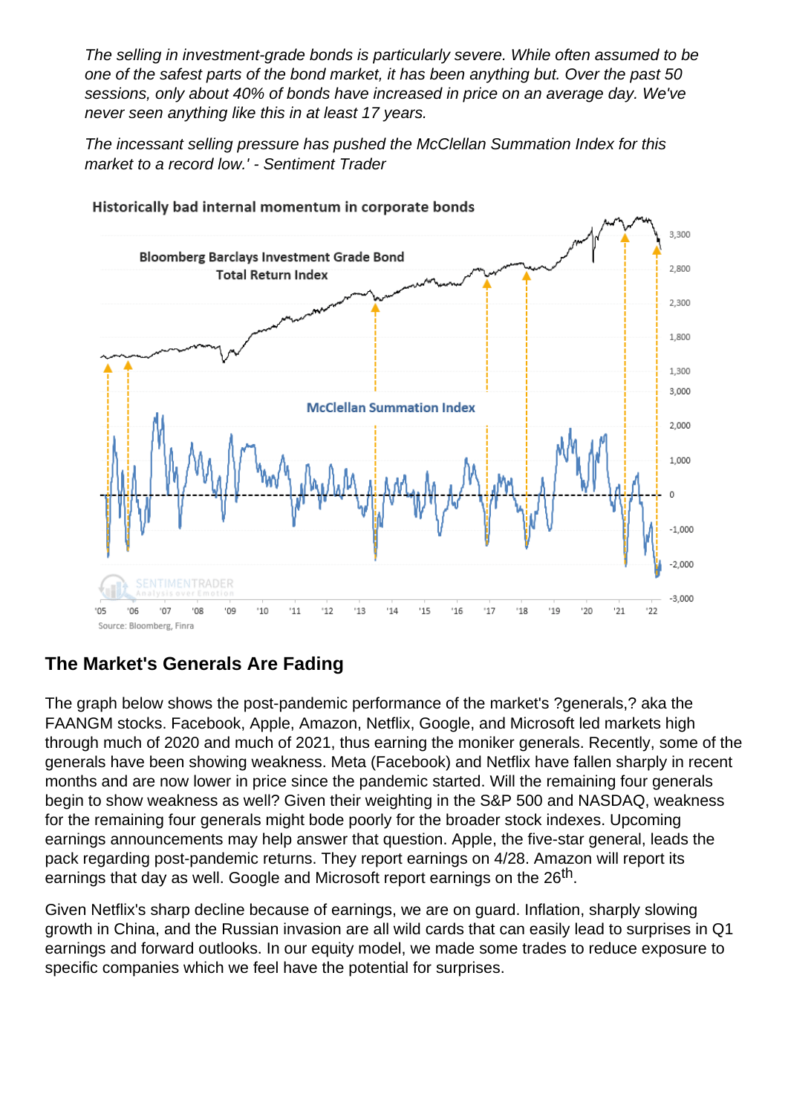The selling in investment-grade bonds is particularly severe. While often assumed to be one of the safest parts of the bond market, it has been anything but. Over the past 50 sessions, only about 40% of bonds have increased in price on an average day. We've never seen anything like this in at least 17 years.

The incessant selling pressure has pushed the McClellan Summation Index for this market to a record low.' - Sentiment Trader



# **The Market's Generals Are Fading**

The graph below shows the post-pandemic performance of the market's ?generals,? aka the FAANGM stocks. Facebook, Apple, Amazon, Netflix, Google, and Microsoft led markets high through much of 2020 and much of 2021, thus earning the moniker generals. Recently, some of the generals have been showing weakness. Meta (Facebook) and Netflix have fallen sharply in recent months and are now lower in price since the pandemic started. Will the remaining four generals begin to show weakness as well? Given their weighting in the S&P 500 and NASDAQ, weakness for the remaining four generals might bode poorly for the broader stock indexes. Upcoming earnings announcements may help answer that question. Apple, the five-star general, leads the pack regarding post-pandemic returns. They report earnings on 4/28. Amazon will report its earnings that day as well. Google and Microsoft report earnings on the 26<sup>th</sup>.

Given Netflix's sharp decline because of earnings, we are on guard. Inflation, sharply slowing growth in China, and the Russian invasion are all wild cards that can easily lead to surprises in Q1 earnings and forward outlooks. In our equity model, we made some trades to reduce exposure to specific companies which we feel have the potential for surprises.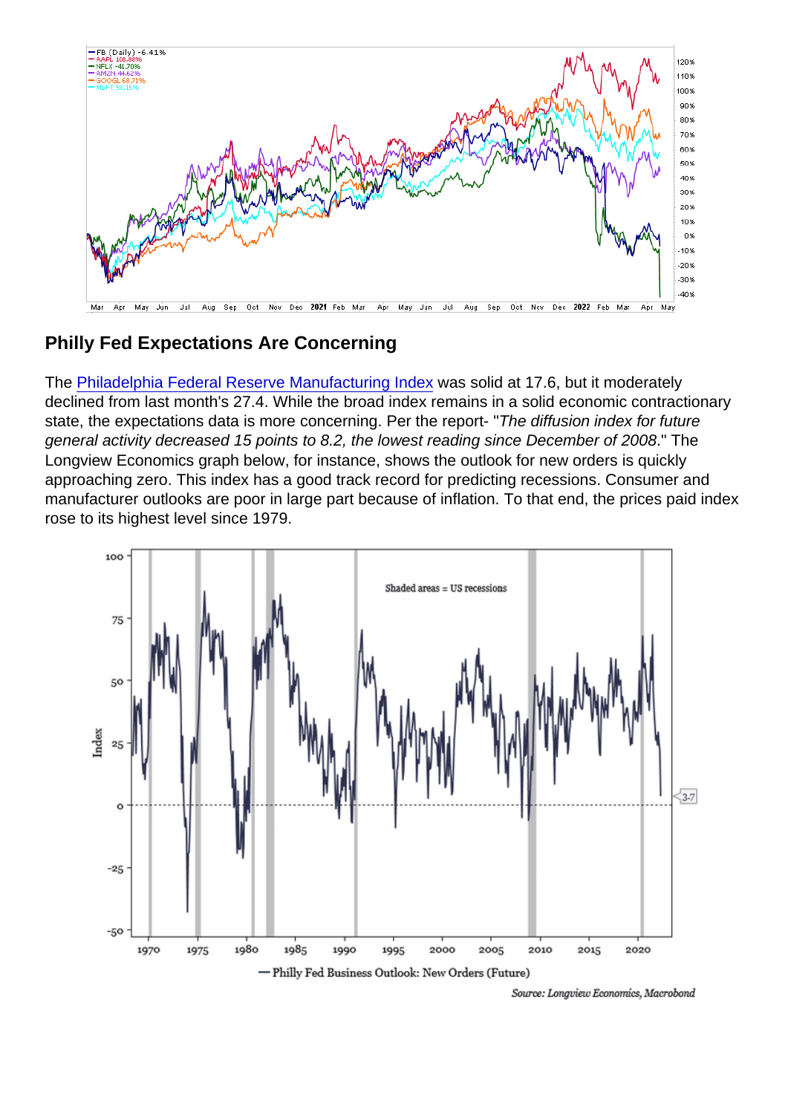Philly Fed Expectations Are Concerning

The [Philadelphia Federal Reserve Manufacturing Index](https://www.philadelphiafed.org/surveys-and-data/regional-economic-analysis/mbos-2022-04) was solid at 17.6, but it moderately declined from last month's 27.4. While the broad index remains in a solid economic contractionary state, the expectations data is more concerning. Per the report- "The diffusion index for future general activity decreased 15 points to 8.2, the lowest reading since December of 2008." The Longview Economics graph below, for instance, shows the outlook for new orders is quickly approaching zero. This index has a good track record for predicting recessions. Consumer and manufacturer outlooks are poor in large part because of inflation. To that end, the prices paid index rose to its highest level since 1979.